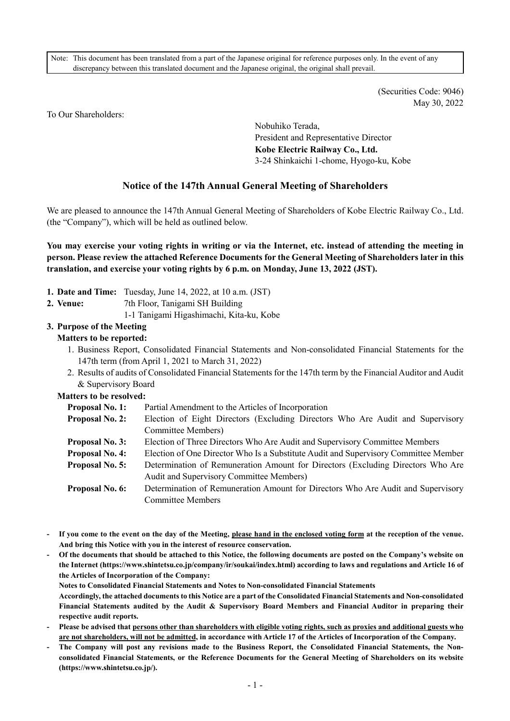Note: This document has been translated from a part of the Japanese original for reference purposes only. In the event of any discrepancy between this translated document and the Japanese original, the original shall prevail.

> (Securities Code: 9046) May 30, 2022

To Our Shareholders:

Nobuhiko Terada, President and Representative Director **Kobe Electric Railway Co., Ltd.**  3-24 Shinkaichi 1-chome, Hyogo-ku, Kobe

# **Notice of the 147th Annual General Meeting of Shareholders**

We are pleased to announce the 147th Annual General Meeting of Shareholders of Kobe Electric Railway Co., Ltd. (the "Company"), which will be held as outlined below.

**You may exercise your voting rights in writing or via the Internet, etc. instead of attending the meeting in person. Please review the attached Reference Documents for the General Meeting of Shareholders later in this translation, and exercise your voting rights by 6 p.m. on Monday, June 13, 2022 (JST).** 

- **1. Date and Time:** Tuesday, June 14, 2022, at 10 a.m. (JST)
- **2. Venue:** 7th Floor, Tanigami SH Building
	- 1-1 Tanigami Higashimachi, Kita-ku, Kobe

## **3. Purpose of the Meeting**

### **Matters to be reported:**

- 1. Business Report, Consolidated Financial Statements and Non-consolidated Financial Statements for the 147th term (from April 1, 2021 to March 31, 2022)
- 2. Results of audits of Consolidated Financial Statements for the 147th term by the Financial Auditor and Audit & Supervisory Board

### **Matters to be resolved:**

| <b>Proposal No. 1:</b> | Partial Amendment to the Articles of Incorporation                                  |
|------------------------|-------------------------------------------------------------------------------------|
| <b>Proposal No. 2:</b> | Election of Eight Directors (Excluding Directors Who Are Audit and Supervisory      |
|                        | Committee Members)                                                                  |
| <b>Proposal No. 3:</b> | Election of Three Directors Who Are Audit and Supervisory Committee Members         |
| <b>Proposal No. 4:</b> | Election of One Director Who Is a Substitute Audit and Supervisory Committee Member |
| <b>Proposal No. 5:</b> | Determination of Remuneration Amount for Directors (Excluding Directors Who Are     |
|                        | Audit and Supervisory Committee Members)                                            |
| Proposal No. 6:        | Determination of Remuneration Amount for Directors Who Are Audit and Supervisory    |
|                        | <b>Committee Members</b>                                                            |
|                        |                                                                                     |

- **If you come to the event on the day of the Meeting, please hand in the enclosed voting form at the reception of the venue. And bring this Notice with you in the interest of resource conservation.**
- **Of the documents that should be attached to this Notice, the following documents are posted on the Company's website on the Internet (https://www.shintetsu.co.jp/company/ir/soukai/index.html) according to laws and regulations and Article 16 of the Articles of Incorporation of the Company:**

**Notes to Consolidated Financial Statements and Notes to Non-consolidated Financial Statements** 

 **Accordingly, the attached documents to this Notice are a part of the Consolidated Financial Statements and Non-consolidated Financial Statements audited by the Audit & Supervisory Board Members and Financial Auditor in preparing their respective audit reports.** 

- **Please be advised that persons other than shareholders with eligible voting rights, such as proxies and additional guests who are not shareholders, will not be admitted, in accordance with Article 17 of the Articles of Incorporation of the Company.**
- **The Company will post any revisions made to the Business Report, the Consolidated Financial Statements, the Nonconsolidated Financial Statements, or the Reference Documents for the General Meeting of Shareholders on its website (https://www.shintetsu.co.jp/).**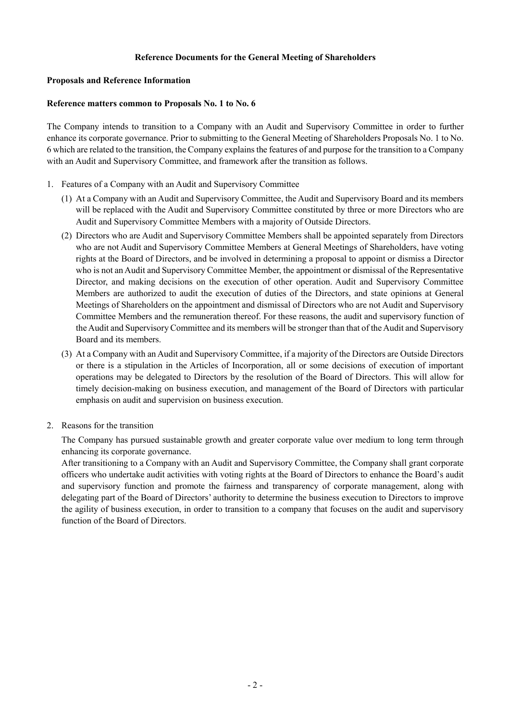### **Reference Documents for the General Meeting of Shareholders**

#### **Proposals and Reference Information**

#### **Reference matters common to Proposals No. 1 to No. 6**

The Company intends to transition to a Company with an Audit and Supervisory Committee in order to further enhance its corporate governance. Prior to submitting to the General Meeting of Shareholders Proposals No. 1 to No. 6 which are related to the transition, the Company explains the features of and purpose for the transition to a Company with an Audit and Supervisory Committee, and framework after the transition as follows.

- 1. Features of a Company with an Audit and Supervisory Committee
	- (1) At a Company with an Audit and Supervisory Committee, the Audit and Supervisory Board and its members will be replaced with the Audit and Supervisory Committee constituted by three or more Directors who are Audit and Supervisory Committee Members with a majority of Outside Directors.
	- (2) Directors who are Audit and Supervisory Committee Members shall be appointed separately from Directors who are not Audit and Supervisory Committee Members at General Meetings of Shareholders, have voting rights at the Board of Directors, and be involved in determining a proposal to appoint or dismiss a Director who is not an Audit and Supervisory Committee Member, the appointment or dismissal of the Representative Director, and making decisions on the execution of other operation. Audit and Supervisory Committee Members are authorized to audit the execution of duties of the Directors, and state opinions at General Meetings of Shareholders on the appointment and dismissal of Directors who are not Audit and Supervisory Committee Members and the remuneration thereof. For these reasons, the audit and supervisory function of the Audit and Supervisory Committee and its members will be stronger than that of the Audit and Supervisory Board and its members.
	- (3) At a Company with an Audit and Supervisory Committee, if a majority of the Directors are Outside Directors or there is a stipulation in the Articles of Incorporation, all or some decisions of execution of important operations may be delegated to Directors by the resolution of the Board of Directors. This will allow for timely decision-making on business execution, and management of the Board of Directors with particular emphasis on audit and supervision on business execution.
- 2. Reasons for the transition

The Company has pursued sustainable growth and greater corporate value over medium to long term through enhancing its corporate governance.

After transitioning to a Company with an Audit and Supervisory Committee, the Company shall grant corporate officers who undertake audit activities with voting rights at the Board of Directors to enhance the Board's audit and supervisory function and promote the fairness and transparency of corporate management, along with delegating part of the Board of Directors' authority to determine the business execution to Directors to improve the agility of business execution, in order to transition to a company that focuses on the audit and supervisory function of the Board of Directors.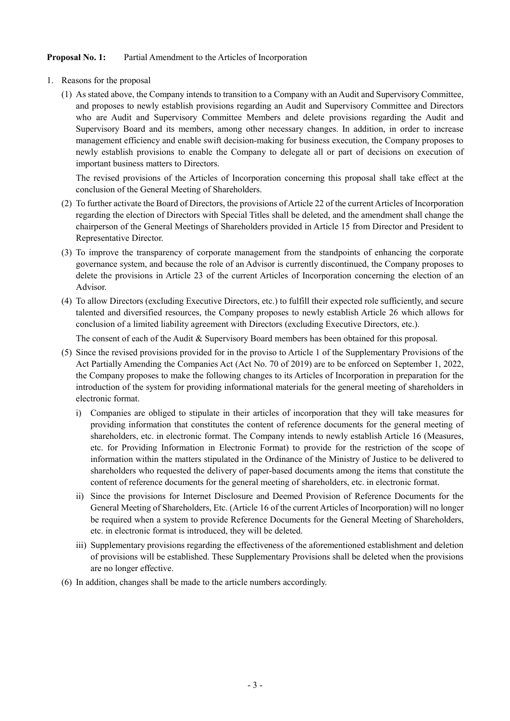### **Proposal No. 1:** Partial Amendment to the Articles of Incorporation

- 1. Reasons for the proposal
	- (1) As stated above, the Company intends to transition to a Company with an Audit and Supervisory Committee, and proposes to newly establish provisions regarding an Audit and Supervisory Committee and Directors who are Audit and Supervisory Committee Members and delete provisions regarding the Audit and Supervisory Board and its members, among other necessary changes. In addition, in order to increase management efficiency and enable swift decision-making for business execution, the Company proposes to newly establish provisions to enable the Company to delegate all or part of decisions on execution of important business matters to Directors.

The revised provisions of the Articles of Incorporation concerning this proposal shall take effect at the conclusion of the General Meeting of Shareholders.

- (2) To further activate the Board of Directors, the provisions of Article 22 of the current Articles of Incorporation regarding the election of Directors with Special Titles shall be deleted, and the amendment shall change the chairperson of the General Meetings of Shareholders provided in Article 15 from Director and President to Representative Director.
- (3) To improve the transparency of corporate management from the standpoints of enhancing the corporate governance system, and because the role of an Advisor is currently discontinued, the Company proposes to delete the provisions in Article 23 of the current Articles of Incorporation concerning the election of an Advisor.
- (4) To allow Directors (excluding Executive Directors, etc.) to fulfill their expected role sufficiently, and secure talented and diversified resources, the Company proposes to newly establish Article 26 which allows for conclusion of a limited liability agreement with Directors (excluding Executive Directors, etc.).

The consent of each of the Audit & Supervisory Board members has been obtained for this proposal.

- (5) Since the revised provisions provided for in the proviso to Article 1 of the Supplementary Provisions of the Act Partially Amending the Companies Act (Act No. 70 of 2019) are to be enforced on September 1, 2022, the Company proposes to make the following changes to its Articles of Incorporation in preparation for the introduction of the system for providing informational materials for the general meeting of shareholders in electronic format.
	- i) Companies are obliged to stipulate in their articles of incorporation that they will take measures for providing information that constitutes the content of reference documents for the general meeting of shareholders, etc. in electronic format. The Company intends to newly establish Article 16 (Measures, etc. for Providing Information in Electronic Format) to provide for the restriction of the scope of information within the matters stipulated in the Ordinance of the Ministry of Justice to be delivered to shareholders who requested the delivery of paper-based documents among the items that constitute the content of reference documents for the general meeting of shareholders, etc. in electronic format.
	- ii) Since the provisions for Internet Disclosure and Deemed Provision of Reference Documents for the General Meeting of Shareholders, Etc. (Article 16 of the current Articles of Incorporation) will no longer be required when a system to provide Reference Documents for the General Meeting of Shareholders, etc. in electronic format is introduced, they will be deleted.
	- iii) Supplementary provisions regarding the effectiveness of the aforementioned establishment and deletion of provisions will be established. These Supplementary Provisions shall be deleted when the provisions are no longer effective.
- (6) In addition, changes shall be made to the article numbers accordingly.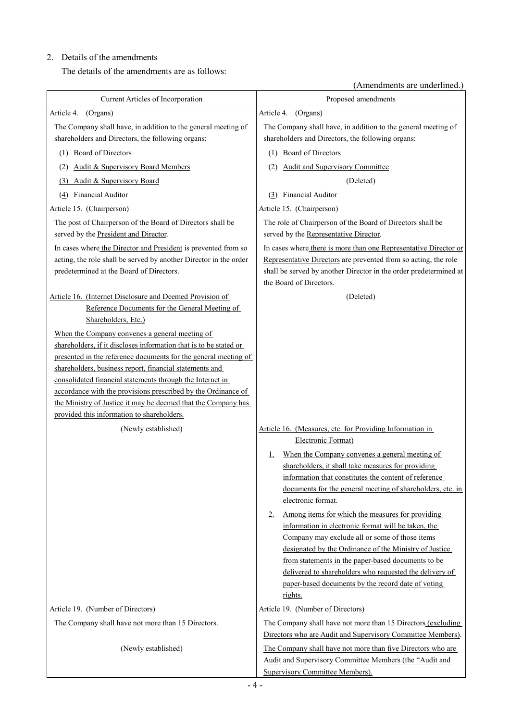# 2. Details of the amendments

The details of the amendments are as follows:

(Amendments are underlined.)

| Current Articles of Incorporation                                                                                                                                                                                                                                                                                                                                                                                                                                                              | Proposed amendments                                                                                                                                                                                                                                                                                                                               |
|------------------------------------------------------------------------------------------------------------------------------------------------------------------------------------------------------------------------------------------------------------------------------------------------------------------------------------------------------------------------------------------------------------------------------------------------------------------------------------------------|---------------------------------------------------------------------------------------------------------------------------------------------------------------------------------------------------------------------------------------------------------------------------------------------------------------------------------------------------|
| (Organs)<br>Article 4.                                                                                                                                                                                                                                                                                                                                                                                                                                                                         | Article 4. (Organs)                                                                                                                                                                                                                                                                                                                               |
| The Company shall have, in addition to the general meeting of<br>shareholders and Directors, the following organs:                                                                                                                                                                                                                                                                                                                                                                             | The Company shall have, in addition to the general meeting of<br>shareholders and Directors, the following organs:                                                                                                                                                                                                                                |
| (1) Board of Directors                                                                                                                                                                                                                                                                                                                                                                                                                                                                         | (1) Board of Directors                                                                                                                                                                                                                                                                                                                            |
| <b>Audit &amp; Supervisory Board Members</b><br>(2)                                                                                                                                                                                                                                                                                                                                                                                                                                            | <b>Audit and Supervisory Committee</b><br>(2)                                                                                                                                                                                                                                                                                                     |
| Audit & Supervisory Board<br>(3)                                                                                                                                                                                                                                                                                                                                                                                                                                                               | (Deleted)                                                                                                                                                                                                                                                                                                                                         |
| Financial Auditor<br>(4)                                                                                                                                                                                                                                                                                                                                                                                                                                                                       | (3) Financial Auditor                                                                                                                                                                                                                                                                                                                             |
| Article 15. (Chairperson)                                                                                                                                                                                                                                                                                                                                                                                                                                                                      | Article 15. (Chairperson)                                                                                                                                                                                                                                                                                                                         |
| The post of Chairperson of the Board of Directors shall be<br>served by the President and Director.                                                                                                                                                                                                                                                                                                                                                                                            | The role of Chairperson of the Board of Directors shall be<br>served by the Representative Director.                                                                                                                                                                                                                                              |
| In cases where the Director and President is prevented from so<br>acting, the role shall be served by another Director in the order<br>predetermined at the Board of Directors.                                                                                                                                                                                                                                                                                                                | In cases where there is more than one Representative Director or<br>Representative Directors are prevented from so acting, the role<br>shall be served by another Director in the order predetermined at<br>the Board of Directors.                                                                                                               |
| Article 16. (Internet Disclosure and Deemed Provision of<br>Reference Documents for the General Meeting of<br>Shareholders, Etc.)                                                                                                                                                                                                                                                                                                                                                              | (Deleted)                                                                                                                                                                                                                                                                                                                                         |
| When the Company convenes a general meeting of<br>shareholders, if it discloses information that is to be stated or<br>presented in the reference documents for the general meeting of<br>shareholders, business report, financial statements and<br>consolidated financial statements through the Internet in<br>accordance with the provisions prescribed by the Ordinance of<br>the Ministry of Justice it may be deemed that the Company has<br>provided this information to shareholders. |                                                                                                                                                                                                                                                                                                                                                   |
| (Newly established)                                                                                                                                                                                                                                                                                                                                                                                                                                                                            | Article 16. (Measures, etc. for Providing Information in                                                                                                                                                                                                                                                                                          |
|                                                                                                                                                                                                                                                                                                                                                                                                                                                                                                | Electronic Format)                                                                                                                                                                                                                                                                                                                                |
|                                                                                                                                                                                                                                                                                                                                                                                                                                                                                                | When the Company convenes a general meeting of<br>1.                                                                                                                                                                                                                                                                                              |
|                                                                                                                                                                                                                                                                                                                                                                                                                                                                                                | shareholders, it shall take measures for providing                                                                                                                                                                                                                                                                                                |
|                                                                                                                                                                                                                                                                                                                                                                                                                                                                                                | information that constitutes the content of reference                                                                                                                                                                                                                                                                                             |
|                                                                                                                                                                                                                                                                                                                                                                                                                                                                                                | documents for the general meeting of shareholders, etc. in<br>electronic format.                                                                                                                                                                                                                                                                  |
|                                                                                                                                                                                                                                                                                                                                                                                                                                                                                                | Among items for which the measures for providing<br>2.                                                                                                                                                                                                                                                                                            |
|                                                                                                                                                                                                                                                                                                                                                                                                                                                                                                | information in electronic format will be taken, the<br>Company may exclude all or some of those items<br>designated by the Ordinance of the Ministry of Justice<br>from statements in the paper-based documents to be<br>delivered to shareholders who requested the delivery of<br>paper-based documents by the record date of voting<br>rights. |
| Article 19. (Number of Directors)                                                                                                                                                                                                                                                                                                                                                                                                                                                              | Article 19. (Number of Directors)                                                                                                                                                                                                                                                                                                                 |
| The Company shall have not more than 15 Directors.                                                                                                                                                                                                                                                                                                                                                                                                                                             | The Company shall have not more than 15 Directors (excluding<br>Directors who are Audit and Supervisory Committee Members).                                                                                                                                                                                                                       |
| (Newly established)                                                                                                                                                                                                                                                                                                                                                                                                                                                                            | The Company shall have not more than five Directors who are                                                                                                                                                                                                                                                                                       |
|                                                                                                                                                                                                                                                                                                                                                                                                                                                                                                | Audit and Supervisory Committee Members (the "Audit and<br>Supervisory Committee Members).                                                                                                                                                                                                                                                        |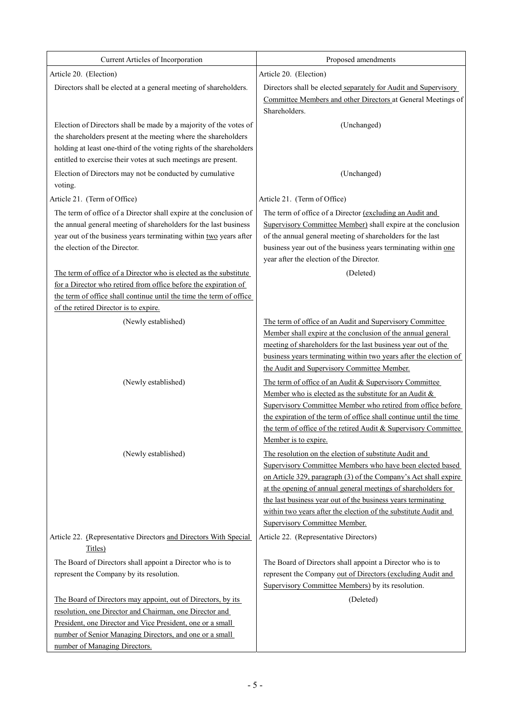| Current Articles of Incorporation                                           | Proposed amendments                                                                                              |
|-----------------------------------------------------------------------------|------------------------------------------------------------------------------------------------------------------|
| Article 20. (Election)                                                      | Article 20. (Election)                                                                                           |
| Directors shall be elected at a general meeting of shareholders.            | Directors shall be elected separately for Audit and Supervisory                                                  |
|                                                                             | Committee Members and other Directors at General Meetings of                                                     |
|                                                                             | Shareholders.                                                                                                    |
| Election of Directors shall be made by a majority of the votes of           | (Unchanged)                                                                                                      |
| the shareholders present at the meeting where the shareholders              |                                                                                                                  |
| holding at least one-third of the voting rights of the shareholders         |                                                                                                                  |
| entitled to exercise their votes at such meetings are present.              |                                                                                                                  |
| Election of Directors may not be conducted by cumulative<br>voting.         | (Unchanged)                                                                                                      |
| Article 21. (Term of Office)                                                | Article 21. (Term of Office)                                                                                     |
| The term of office of a Director shall expire at the conclusion of          | The term of office of a Director (excluding an Audit and                                                         |
| the annual general meeting of shareholders for the last business            | Supervisory Committee Member) shall expire at the conclusion                                                     |
| year out of the business years terminating within two years after           | of the annual general meeting of shareholders for the last                                                       |
| the election of the Director.                                               | business year out of the business years terminating within one                                                   |
|                                                                             | year after the election of the Director.                                                                         |
| The term of office of a Director who is elected as the substitute           | (Deleted)                                                                                                        |
| for a Director who retired from office before the expiration of             |                                                                                                                  |
| the term of office shall continue until the time the term of office         |                                                                                                                  |
| of the retired Director is to expire.                                       |                                                                                                                  |
| (Newly established)                                                         | The term of office of an Audit and Supervisory Committee                                                         |
|                                                                             | Member shall expire at the conclusion of the annual general                                                      |
|                                                                             | meeting of shareholders for the last business year out of the                                                    |
|                                                                             | business years terminating within two years after the election of<br>the Audit and Supervisory Committee Member. |
|                                                                             |                                                                                                                  |
| (Newly established)                                                         | The term of office of an Audit & Supervisory Committee<br>Member who is elected as the substitute for an Audit & |
|                                                                             | Supervisory Committee Member who retired from office before                                                      |
|                                                                             | the expiration of the term of office shall continue until the time                                               |
|                                                                             | the term of office of the retired Audit & Supervisory Committee                                                  |
|                                                                             | Member is to expire.                                                                                             |
| (Newly established)                                                         | The resolution on the election of substitute Audit and                                                           |
|                                                                             | Supervisory Committee Members who have been elected based                                                        |
|                                                                             | on Article 329, paragraph (3) of the Company's Act shall expire                                                  |
|                                                                             | at the opening of annual general meetings of shareholders for                                                    |
|                                                                             | the last business year out of the business years terminating                                                     |
|                                                                             | within two years after the election of the substitute Audit and                                                  |
|                                                                             | <b>Supervisory Committee Member.</b>                                                                             |
| Article 22. (Representative Directors and Directors With Special<br>Titles) | Article 22. (Representative Directors)                                                                           |
| The Board of Directors shall appoint a Director who is to                   | The Board of Directors shall appoint a Director who is to                                                        |
| represent the Company by its resolution.                                    | represent the Company out of Directors (excluding Audit and                                                      |
|                                                                             | Supervisory Committee Members) by its resolution.                                                                |
| The Board of Directors may appoint, out of Directors, by its                | (Deleted)                                                                                                        |
| resolution, one Director and Chairman, one Director and                     |                                                                                                                  |
| President, one Director and Vice President, one or a small                  |                                                                                                                  |
| number of Senior Managing Directors, and one or a small                     |                                                                                                                  |
| number of Managing Directors.                                               |                                                                                                                  |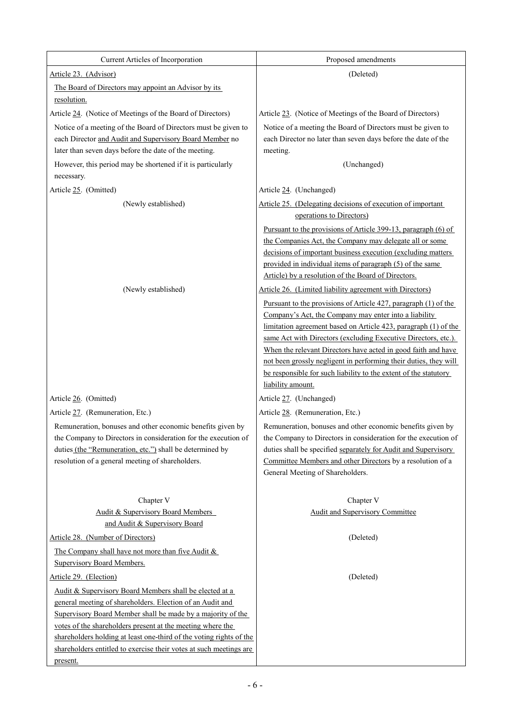| Current Articles of Incorporation                                                                                                                                                                                                                                                                                                                                                                                                    | Proposed amendments                                                                                                                                                                                                                                                                                                                                                                                                                                                                                                                                     |
|--------------------------------------------------------------------------------------------------------------------------------------------------------------------------------------------------------------------------------------------------------------------------------------------------------------------------------------------------------------------------------------------------------------------------------------|---------------------------------------------------------------------------------------------------------------------------------------------------------------------------------------------------------------------------------------------------------------------------------------------------------------------------------------------------------------------------------------------------------------------------------------------------------------------------------------------------------------------------------------------------------|
| Article 23. (Advisor)                                                                                                                                                                                                                                                                                                                                                                                                                | (Deleted)                                                                                                                                                                                                                                                                                                                                                                                                                                                                                                                                               |
| The Board of Directors may appoint an Advisor by its<br>resolution.                                                                                                                                                                                                                                                                                                                                                                  |                                                                                                                                                                                                                                                                                                                                                                                                                                                                                                                                                         |
| Article 24. (Notice of Meetings of the Board of Directors)                                                                                                                                                                                                                                                                                                                                                                           | Article 23. (Notice of Meetings of the Board of Directors)                                                                                                                                                                                                                                                                                                                                                                                                                                                                                              |
| Notice of a meeting of the Board of Directors must be given to<br>each Director and Audit and Supervisory Board Member no<br>later than seven days before the date of the meeting.                                                                                                                                                                                                                                                   | Notice of a meeting the Board of Directors must be given to<br>each Director no later than seven days before the date of the<br>meeting.                                                                                                                                                                                                                                                                                                                                                                                                                |
| However, this period may be shortened if it is particularly<br>necessary.                                                                                                                                                                                                                                                                                                                                                            | (Unchanged)                                                                                                                                                                                                                                                                                                                                                                                                                                                                                                                                             |
| Article 25. (Omitted)                                                                                                                                                                                                                                                                                                                                                                                                                | Article 24. (Unchanged)                                                                                                                                                                                                                                                                                                                                                                                                                                                                                                                                 |
| (Newly established)                                                                                                                                                                                                                                                                                                                                                                                                                  | Article 25. (Delegating decisions of execution of important<br>operations to Directors)<br>Pursuant to the provisions of Article 399-13, paragraph (6) of                                                                                                                                                                                                                                                                                                                                                                                               |
|                                                                                                                                                                                                                                                                                                                                                                                                                                      | the Companies Act, the Company may delegate all or some<br>decisions of important business execution (excluding matters<br>provided in individual items of paragraph (5) of the same<br>Article) by a resolution of the Board of Directors.                                                                                                                                                                                                                                                                                                             |
| (Newly established)                                                                                                                                                                                                                                                                                                                                                                                                                  | Article 26. (Limited liability agreement with Directors)<br>Pursuant to the provisions of Article 427, paragraph (1) of the<br>Company's Act, the Company may enter into a liability<br>limitation agreement based on Article 423, paragraph (1) of the<br>same Act with Directors (excluding Executive Directors, etc.).<br>When the relevant Directors have acted in good faith and have<br>not been grossly negligent in performing their duties, they will<br>be responsible for such liability to the extent of the statutory<br>liability amount. |
| Article 26. (Omitted)                                                                                                                                                                                                                                                                                                                                                                                                                | Article 27. (Unchanged)                                                                                                                                                                                                                                                                                                                                                                                                                                                                                                                                 |
| Article 27. (Remuneration, Etc.)                                                                                                                                                                                                                                                                                                                                                                                                     | Article 28. (Remuneration, Etc.)                                                                                                                                                                                                                                                                                                                                                                                                                                                                                                                        |
| Remuneration, bonuses and other economic benefits given by<br>the Company to Directors in consideration for the execution of<br>duties (the "Remuneration, etc.") shall be determined by<br>resolution of a general meeting of shareholders.                                                                                                                                                                                         | Remuneration, bonuses and other economic benefits given by<br>the Company to Directors in consideration for the execution of<br>duties shall be specified separately for Audit and Supervisory<br>Committee Members and other Directors by a resolution of a<br>General Meeting of Shareholders.                                                                                                                                                                                                                                                        |
| Chapter V<br><b>Audit &amp; Supervisory Board Members</b><br>and Audit & Supervisory Board                                                                                                                                                                                                                                                                                                                                           | Chapter V<br><b>Audit and Supervisory Committee</b>                                                                                                                                                                                                                                                                                                                                                                                                                                                                                                     |
| Article 28. (Number of Directors)                                                                                                                                                                                                                                                                                                                                                                                                    | (Deleted)                                                                                                                                                                                                                                                                                                                                                                                                                                                                                                                                               |
| The Company shall have not more than five Audit $&$<br><b>Supervisory Board Members.</b>                                                                                                                                                                                                                                                                                                                                             |                                                                                                                                                                                                                                                                                                                                                                                                                                                                                                                                                         |
| Article 29. (Election)<br>Audit & Supervisory Board Members shall be elected at a<br>general meeting of shareholders. Election of an Audit and<br>Supervisory Board Member shall be made by a majority of the<br>votes of the shareholders present at the meeting where the<br>shareholders holding at least one-third of the voting rights of the<br>shareholders entitled to exercise their votes at such meetings are<br>present. | (Deleted)                                                                                                                                                                                                                                                                                                                                                                                                                                                                                                                                               |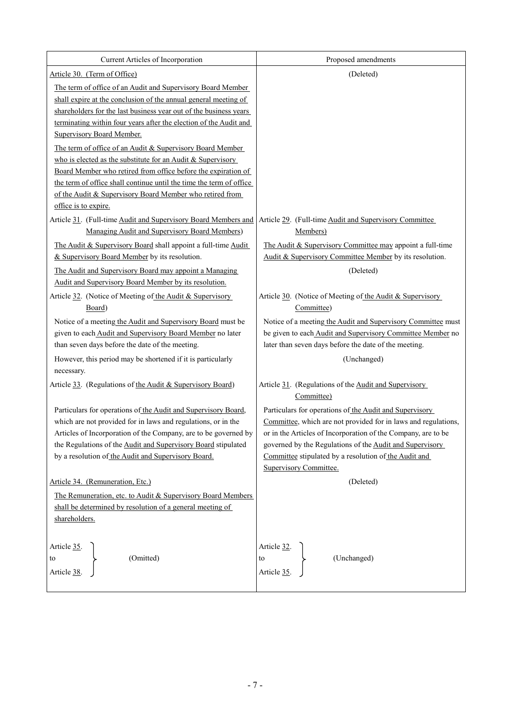| Current Articles of Incorporation                                   | Proposed amendments                                            |
|---------------------------------------------------------------------|----------------------------------------------------------------|
| Article 30. (Term of Office)                                        | (Deleted)                                                      |
| The term of office of an Audit and Supervisory Board Member         |                                                                |
| shall expire at the conclusion of the annual general meeting of     |                                                                |
| shareholders for the last business year out of the business years   |                                                                |
| terminating within four years after the election of the Audit and   |                                                                |
| <b>Supervisory Board Member.</b>                                    |                                                                |
| The term of office of an Audit & Supervisory Board Member           |                                                                |
| who is elected as the substitute for an Audit & Supervisory         |                                                                |
| Board Member who retired from office before the expiration of       |                                                                |
| the term of office shall continue until the time the term of office |                                                                |
| of the Audit & Supervisory Board Member who retired from            |                                                                |
| office is to expire.                                                |                                                                |
| Article 31. (Full-time Audit and Supervisory Board Members and      | Article 29. (Full-time Audit and Supervisory Committee         |
| Managing Audit and Supervisory Board Members)                       | Members)                                                       |
| The Audit & Supervisory Board shall appoint a full-time Audit       | The Audit & Supervisory Committee may appoint a full-time      |
| & Supervisory Board Member by its resolution.                       | Audit & Supervisory Committee Member by its resolution.        |
| The Audit and Supervisory Board may appoint a Managing              | (Deleted)                                                      |
| Audit and Supervisory Board Member by its resolution.               |                                                                |
| Article 32. (Notice of Meeting of the Audit & Supervisory           | Article 30. (Notice of Meeting of the Audit & Supervisory      |
| Board)                                                              | Committee)                                                     |
| Notice of a meeting the Audit and Supervisory Board must be         | Notice of a meeting the Audit and Supervisory Committee must   |
| given to each Audit and Supervisory Board Member no later           | be given to each Audit and Supervisory Committee Member no     |
| than seven days before the date of the meeting.                     | later than seven days before the date of the meeting.          |
| However, this period may be shortened if it is particularly         | (Unchanged)                                                    |
| necessary.                                                          |                                                                |
| Article 33. (Regulations of the Audit & Supervisory Board)          | Article 31. (Regulations of the Audit and Supervisory          |
|                                                                     | Committee)                                                     |
| Particulars for operations of the Audit and Supervisory Board,      | Particulars for operations of the Audit and Supervisory        |
| which are not provided for in laws and regulations, or in the       | Committee, which are not provided for in laws and regulations, |
| Articles of Incorporation of the Company, are to be governed by     | or in the Articles of Incorporation of the Company, are to be  |
| the Regulations of the Audit and Supervisory Board stipulated       | governed by the Regulations of the Audit and Supervisory       |
| by a resolution of the Audit and Supervisory Board.                 | Committee stipulated by a resolution of the Audit and          |
|                                                                     | <b>Supervisory Committee.</b>                                  |
| Article 34. (Remuneration, Etc.)                                    | (Deleted)                                                      |
| The Remuneration, etc. to Audit & Supervisory Board Members         |                                                                |
| shall be determined by resolution of a general meeting of           |                                                                |
| shareholders.                                                       |                                                                |
|                                                                     |                                                                |
| Article 35.                                                         |                                                                |
| (Omitted)<br>to                                                     | (Unchanged)                                                    |
| Article 38.                                                         | Article 32.<br>to<br>Article 35.                               |
|                                                                     |                                                                |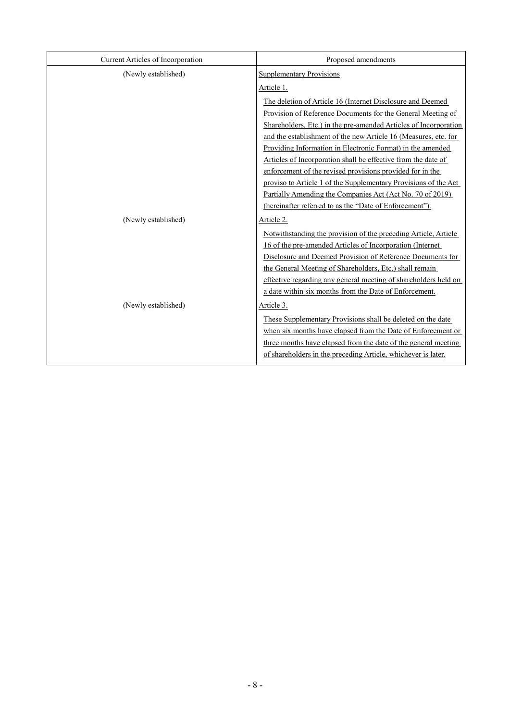| Current Articles of Incorporation | Proposed amendments                                              |
|-----------------------------------|------------------------------------------------------------------|
| (Newly established)               | <b>Supplementary Provisions</b>                                  |
|                                   | Article 1.                                                       |
|                                   | The deletion of Article 16 (Internet Disclosure and Deemed       |
|                                   | Provision of Reference Documents for the General Meeting of      |
|                                   | Shareholders, Etc.) in the pre-amended Articles of Incorporation |
|                                   | and the establishment of the new Article 16 (Measures, etc. for  |
|                                   | Providing Information in Electronic Format) in the amended       |
|                                   | Articles of Incorporation shall be effective from the date of    |
|                                   | enforcement of the revised provisions provided for in the        |
|                                   | proviso to Article 1 of the Supplementary Provisions of the Act  |
|                                   | Partially Amending the Companies Act (Act No. 70 of 2019)        |
|                                   | (hereinafter referred to as the "Date of Enforcement").          |
| (Newly established)               | Article 2.                                                       |
|                                   | Notwithstanding the provision of the preceding Article, Article  |
|                                   | 16 of the pre-amended Articles of Incorporation (Internet        |
|                                   | Disclosure and Deemed Provision of Reference Documents for       |
|                                   | the General Meeting of Shareholders, Etc.) shall remain          |
|                                   | effective regarding any general meeting of shareholders held on  |
|                                   | a date within six months from the Date of Enforcement.           |
| (Newly established)               | Article 3.                                                       |
|                                   | These Supplementary Provisions shall be deleted on the date      |
|                                   | when six months have elapsed from the Date of Enforcement or     |
|                                   | three months have elapsed from the date of the general meeting   |
|                                   | of shareholders in the preceding Article, whichever is later.    |
|                                   |                                                                  |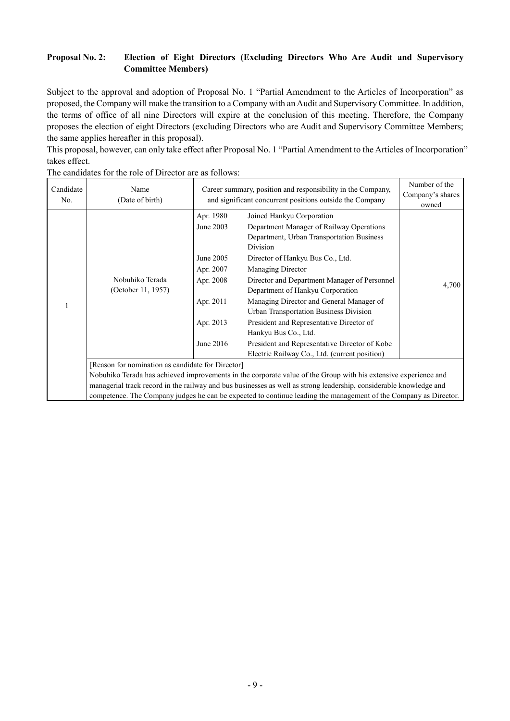# **Proposal No. 2: Election of Eight Directors (Excluding Directors Who Are Audit and Supervisory Committee Members)**

Subject to the approval and adoption of Proposal No. 1 "Partial Amendment to the Articles of Incorporation" as proposed, the Company will make the transition to a Company with an Audit and Supervisory Committee. In addition, the terms of office of all nine Directors will expire at the conclusion of this meeting. Therefore, the Company proposes the election of eight Directors (excluding Directors who are Audit and Supervisory Committee Members; the same applies hereafter in this proposal).

This proposal, however, can only take effect after Proposal No. 1 "Partial Amendment to the Articles of Incorporation" takes effect.

| Candidate<br>No. | Name<br>(Date of birth)                                                                                                                                                                                                               | Career summary, position and responsibility in the Company,<br>and significant concurrent positions outside the Company |                                                                                                                                                                                                                                                                                                                                                                                                                                                                                                                                         | Number of the<br>Company's shares<br>owned |
|------------------|---------------------------------------------------------------------------------------------------------------------------------------------------------------------------------------------------------------------------------------|-------------------------------------------------------------------------------------------------------------------------|-----------------------------------------------------------------------------------------------------------------------------------------------------------------------------------------------------------------------------------------------------------------------------------------------------------------------------------------------------------------------------------------------------------------------------------------------------------------------------------------------------------------------------------------|--------------------------------------------|
|                  | Nobuhiko Terada<br>(October 11, 1957)                                                                                                                                                                                                 | Apr. 1980<br>June 2003<br>June 2005<br>Apr. 2007<br>Apr. 2008<br>Apr. 2011<br>Apr. 2013<br>June 2016                    | Joined Hankyu Corporation<br>Department Manager of Railway Operations<br>Department, Urban Transportation Business<br>Division<br>Director of Hankyu Bus Co., Ltd.<br>Managing Director<br>Director and Department Manager of Personnel<br>Department of Hankyu Corporation<br>Managing Director and General Manager of<br>Urban Transportation Business Division<br>President and Representative Director of<br>Hankyu Bus Co., Ltd.<br>President and Representative Director of Kobe<br>Electric Railway Co., Ltd. (current position) | 4,700                                      |
|                  | [Reason for nomination as candidate for Director]                                                                                                                                                                                     |                                                                                                                         |                                                                                                                                                                                                                                                                                                                                                                                                                                                                                                                                         |                                            |
|                  | Nobuhiko Terada has achieved improvements in the corporate value of the Group with his extensive experience and<br>managerial track record in the railway and bus businesses as well as strong leadership, considerable knowledge and |                                                                                                                         |                                                                                                                                                                                                                                                                                                                                                                                                                                                                                                                                         |                                            |
|                  | competence. The Company judges he can be expected to continue leading the management of the Company as Director.                                                                                                                      |                                                                                                                         |                                                                                                                                                                                                                                                                                                                                                                                                                                                                                                                                         |                                            |

The candidates for the role of Director are as follows: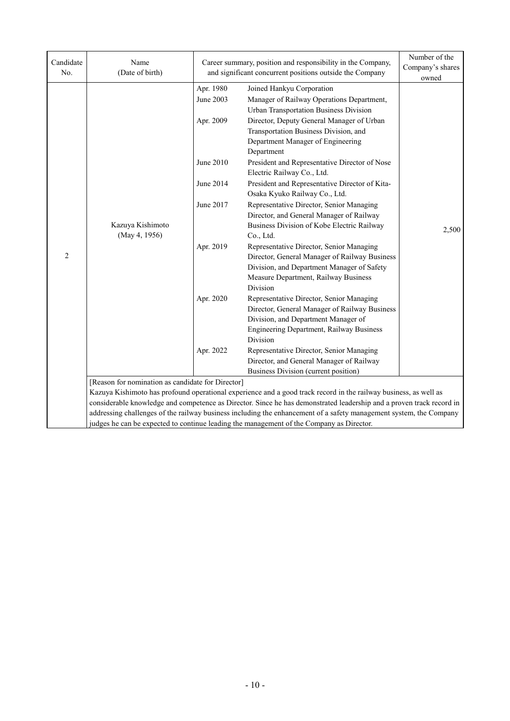| Candidate<br>No. | Name<br>(Date of birth)                           |                                     | Career summary, position and responsibility in the Company,<br>and significant concurrent positions outside the Company                                                                                                                                                                                                                                        | Number of the<br>Company's shares<br>owned |
|------------------|---------------------------------------------------|-------------------------------------|----------------------------------------------------------------------------------------------------------------------------------------------------------------------------------------------------------------------------------------------------------------------------------------------------------------------------------------------------------------|--------------------------------------------|
|                  |                                                   | Apr. 1980<br>June 2003<br>Apr. 2009 | Joined Hankyu Corporation<br>Manager of Railway Operations Department,<br><b>Urban Transportation Business Division</b><br>Director, Deputy General Manager of Urban<br>Transportation Business Division, and<br>Department Manager of Engineering                                                                                                             |                                            |
|                  |                                                   | June 2010                           | Department<br>President and Representative Director of Nose<br>Electric Railway Co., Ltd.                                                                                                                                                                                                                                                                      |                                            |
|                  |                                                   | June 2014                           | President and Representative Director of Kita-<br>Osaka Kyuko Railway Co., Ltd.                                                                                                                                                                                                                                                                                |                                            |
|                  | Kazuya Kishimoto<br>(May 4, 1956)                 | June 2017                           | Representative Director, Senior Managing<br>Director, and General Manager of Railway<br>Business Division of Kobe Electric Railway<br>Co., Ltd.                                                                                                                                                                                                                | 2,500                                      |
| $\overline{2}$   |                                                   | Apr. 2019                           | Representative Director, Senior Managing<br>Director, General Manager of Railway Business<br>Division, and Department Manager of Safety<br>Measure Department, Railway Business<br>Division                                                                                                                                                                    |                                            |
|                  |                                                   | Apr. 2020                           | Representative Director, Senior Managing<br>Director, General Manager of Railway Business<br>Division, and Department Manager of<br>Engineering Department, Railway Business<br>Division                                                                                                                                                                       |                                            |
|                  |                                                   | Apr. 2022                           | Representative Director, Senior Managing<br>Director, and General Manager of Railway<br>Business Division (current position)                                                                                                                                                                                                                                   |                                            |
|                  | [Reason for nomination as candidate for Director] |                                     |                                                                                                                                                                                                                                                                                                                                                                |                                            |
|                  |                                                   |                                     | Kazuya Kishimoto has profound operational experience and a good track record in the railway business, as well as<br>considerable knowledge and competence as Director. Since he has demonstrated leadership and a proven track record in<br>addressing challenges of the railway business including the enhancement of a safety management system, the Company |                                            |
|                  |                                                   |                                     | judges he can be expected to continue leading the management of the Company as Director.                                                                                                                                                                                                                                                                       |                                            |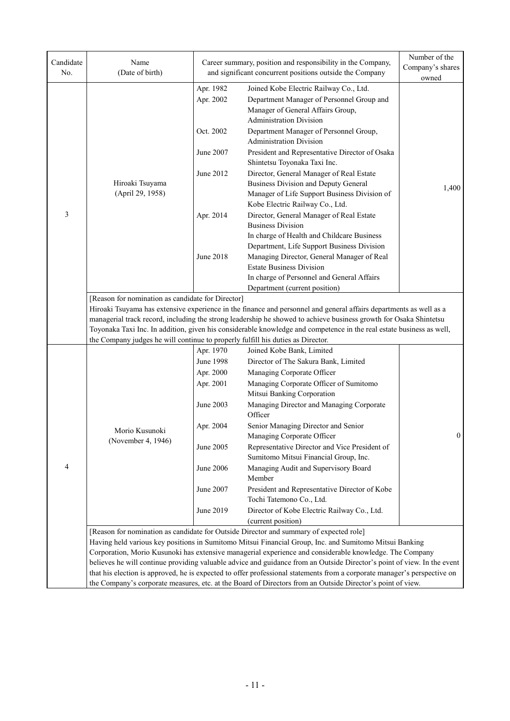| Candidate<br>No. | Name<br>(Date of birth)                                                                                                 |                               | Career summary, position and responsibility in the Company,<br>and significant concurrent positions outside the Company                                                                                                                                                                                                                                         | Number of the<br>Company's shares<br>owned |  |
|------------------|-------------------------------------------------------------------------------------------------------------------------|-------------------------------|-----------------------------------------------------------------------------------------------------------------------------------------------------------------------------------------------------------------------------------------------------------------------------------------------------------------------------------------------------------------|--------------------------------------------|--|
|                  |                                                                                                                         | Apr. 1982<br>Apr. 2002        | Joined Kobe Electric Railway Co., Ltd.<br>Department Manager of Personnel Group and<br>Manager of General Affairs Group,<br><b>Administration Division</b>                                                                                                                                                                                                      |                                            |  |
|                  |                                                                                                                         | Oct. 2002                     | Department Manager of Personnel Group,<br><b>Administration Division</b>                                                                                                                                                                                                                                                                                        |                                            |  |
|                  |                                                                                                                         | June 2007                     | President and Representative Director of Osaka<br>Shintetsu Toyonaka Taxi Inc.                                                                                                                                                                                                                                                                                  |                                            |  |
|                  | Hiroaki Tsuyama<br>(April 29, 1958)                                                                                     | June 2012                     | Director, General Manager of Real Estate<br>Business Division and Deputy General<br>Manager of Life Support Business Division of<br>Kobe Electric Railway Co., Ltd.                                                                                                                                                                                             | 1,400                                      |  |
| 3                |                                                                                                                         | Apr. 2014                     | Director, General Manager of Real Estate<br><b>Business Division</b>                                                                                                                                                                                                                                                                                            |                                            |  |
|                  |                                                                                                                         | <b>June 2018</b>              | In charge of Health and Childcare Business<br>Department, Life Support Business Division<br>Managing Director, General Manager of Real                                                                                                                                                                                                                          |                                            |  |
|                  |                                                                                                                         |                               | <b>Estate Business Division</b><br>In charge of Personnel and General Affairs<br>Department (current position)                                                                                                                                                                                                                                                  |                                            |  |
|                  | [Reason for nomination as candidate for Director]                                                                       |                               | Hiroaki Tsuyama has extensive experience in the finance and personnel and general affairs departments as well as a<br>managerial track record, including the strong leadership he showed to achieve business growth for Osaka Shintetsu<br>Toyonaka Taxi Inc. In addition, given his considerable knowledge and competence in the real estate business as well, |                                            |  |
|                  | the Company judges he will continue to properly fulfill his duties as Director.                                         |                               |                                                                                                                                                                                                                                                                                                                                                                 |                                            |  |
|                  |                                                                                                                         | Apr. 1970                     | Joined Kobe Bank, Limited                                                                                                                                                                                                                                                                                                                                       |                                            |  |
|                  |                                                                                                                         | <b>June 1998</b><br>Apr. 2000 | Director of The Sakura Bank, Limited<br>Managing Corporate Officer                                                                                                                                                                                                                                                                                              |                                            |  |
|                  |                                                                                                                         | Apr. 2001                     | Managing Corporate Officer of Sumitomo                                                                                                                                                                                                                                                                                                                          |                                            |  |
|                  |                                                                                                                         |                               | Mitsui Banking Corporation                                                                                                                                                                                                                                                                                                                                      |                                            |  |
|                  |                                                                                                                         | June 2003                     | Managing Director and Managing Corporate<br>Officer                                                                                                                                                                                                                                                                                                             |                                            |  |
|                  | Morio Kusunoki<br>(November 4, 1946)                                                                                    | Apr. 2004                     | Senior Managing Director and Senior<br>Managing Corporate Officer                                                                                                                                                                                                                                                                                               | $\overline{0}$                             |  |
|                  |                                                                                                                         | June 2005                     | Representative Director and Vice President of<br>Sumitomo Mitsui Financial Group, Inc.                                                                                                                                                                                                                                                                          |                                            |  |
| 4                |                                                                                                                         | <b>June 2006</b>              | Managing Audit and Supervisory Board<br>Member                                                                                                                                                                                                                                                                                                                  |                                            |  |
|                  |                                                                                                                         | June 2007                     | President and Representative Director of Kobe<br>Tochi Tatemono Co., Ltd.                                                                                                                                                                                                                                                                                       |                                            |  |
|                  |                                                                                                                         | June 2019                     | Director of Kobe Electric Railway Co., Ltd.                                                                                                                                                                                                                                                                                                                     |                                            |  |
|                  | (current position)<br>[Reason for nomination as candidate for Outside Director and summary of expected role]            |                               |                                                                                                                                                                                                                                                                                                                                                                 |                                            |  |
|                  | Having held various key positions in Sumitomo Mitsui Financial Group, Inc. and Sumitomo Mitsui Banking                  |                               |                                                                                                                                                                                                                                                                                                                                                                 |                                            |  |
|                  | Corporation, Morio Kusunoki has extensive managerial experience and considerable knowledge. The Company                 |                               |                                                                                                                                                                                                                                                                                                                                                                 |                                            |  |
|                  | believes he will continue providing valuable advice and guidance from an Outside Director's point of view. In the event |                               |                                                                                                                                                                                                                                                                                                                                                                 |                                            |  |
|                  |                                                                                                                         |                               | that his election is approved, he is expected to offer professional statements from a corporate manager's perspective on                                                                                                                                                                                                                                        |                                            |  |
|                  |                                                                                                                         |                               | the Company's corporate measures, etc. at the Board of Directors from an Outside Director's point of view.                                                                                                                                                                                                                                                      |                                            |  |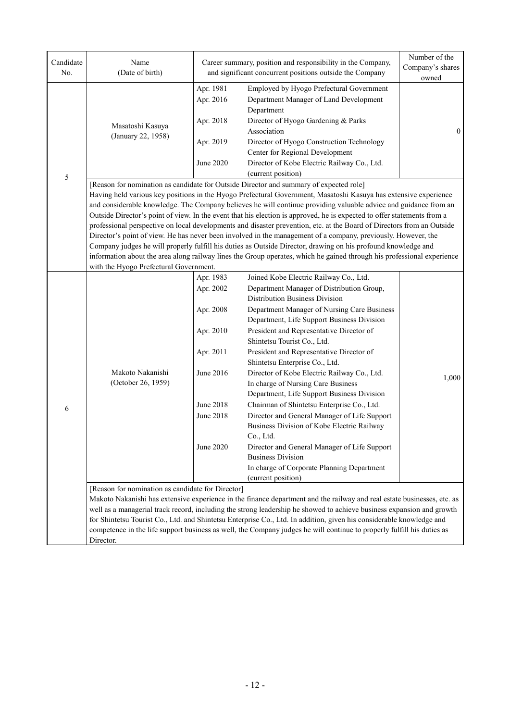| Candidate<br>No. | Name<br>(Date of birth)                                                                     |                                                                                                                   | Career summary, position and responsibility in the Company,<br>and significant concurrent positions outside the Company                                                                                                                                                                                                                                                                                                                                                                                                                                                                                                                                                                                                                                                                                                                                                                                                                                                                                                                                                                                                                                                                             | Number of the<br>Company's shares<br>owned |
|------------------|---------------------------------------------------------------------------------------------|-------------------------------------------------------------------------------------------------------------------|-----------------------------------------------------------------------------------------------------------------------------------------------------------------------------------------------------------------------------------------------------------------------------------------------------------------------------------------------------------------------------------------------------------------------------------------------------------------------------------------------------------------------------------------------------------------------------------------------------------------------------------------------------------------------------------------------------------------------------------------------------------------------------------------------------------------------------------------------------------------------------------------------------------------------------------------------------------------------------------------------------------------------------------------------------------------------------------------------------------------------------------------------------------------------------------------------------|--------------------------------------------|
|                  | Masatoshi Kasuya<br>(January 22, 1958)                                                      | Apr. 1981<br>Apr. 2016<br>Apr. 2018<br>Apr. 2019                                                                  | Employed by Hyogo Prefectural Government<br>Department Manager of Land Development<br>Department<br>Director of Hyogo Gardening & Parks<br>Association<br>Director of Hyogo Construction Technology                                                                                                                                                                                                                                                                                                                                                                                                                                                                                                                                                                                                                                                                                                                                                                                                                                                                                                                                                                                                 | $\overline{0}$                             |
| $\sqrt{5}$       |                                                                                             | June 2020                                                                                                         | Center for Regional Development<br>Director of Kobe Electric Railway Co., Ltd.<br>(current position)                                                                                                                                                                                                                                                                                                                                                                                                                                                                                                                                                                                                                                                                                                                                                                                                                                                                                                                                                                                                                                                                                                |                                            |
|                  | with the Hyogo Prefectural Government.                                                      |                                                                                                                   | [Reason for nomination as candidate for Outside Director and summary of expected role]<br>Having held various key positions in the Hyogo Prefectural Government, Masatoshi Kasuya has extensive experience<br>and considerable knowledge. The Company believes he will continue providing valuable advice and guidance from an<br>Outside Director's point of view. In the event that his election is approved, he is expected to offer statements from a<br>professional perspective on local developments and disaster prevention, etc. at the Board of Directors from an Outside<br>Director's point of view. He has never been involved in the management of a company, previously. However, the<br>Company judges he will properly fulfill his duties as Outside Director, drawing on his profound knowledge and<br>information about the area along railway lines the Group operates, which he gained through his professional experience                                                                                                                                                                                                                                                     |                                            |
| 6                | Makoto Nakanishi<br>(October 26, 1959)<br>[Reason for nomination as candidate for Director] | Apr. 1983<br>Apr. 2002<br>Apr. 2008<br>Apr. 2010<br>Apr. 2011<br>June 2016<br>June 2018<br>June 2018<br>June 2020 | Joined Kobe Electric Railway Co., Ltd.<br>Department Manager of Distribution Group,<br>Distribution Business Division<br>Department Manager of Nursing Care Business<br>Department, Life Support Business Division<br>President and Representative Director of<br>Shintetsu Tourist Co., Ltd.<br>President and Representative Director of<br>Shintetsu Enterprise Co., Ltd.<br>Director of Kobe Electric Railway Co., Ltd.<br>In charge of Nursing Care Business<br>Department, Life Support Business Division<br>Chairman of Shintetsu Enterprise Co., Ltd.<br>Director and General Manager of Life Support<br>Business Division of Kobe Electric Railway<br>Co., Ltd.<br>Director and General Manager of Life Support<br><b>Business Division</b><br>In charge of Corporate Planning Department<br>(current position)<br>Makoto Nakanishi has extensive experience in the finance department and the railway and real estate businesses, etc. as<br>well as a managerial track record, including the strong leadership he showed to achieve business expansion and growth<br>for Shintetsu Tourist Co., Ltd. and Shintetsu Enterprise Co., Ltd. In addition, given his considerable knowledge and | 1,000                                      |
|                  | Director.                                                                                   |                                                                                                                   | competence in the life support business as well, the Company judges he will continue to properly fulfill his duties as                                                                                                                                                                                                                                                                                                                                                                                                                                                                                                                                                                                                                                                                                                                                                                                                                                                                                                                                                                                                                                                                              |                                            |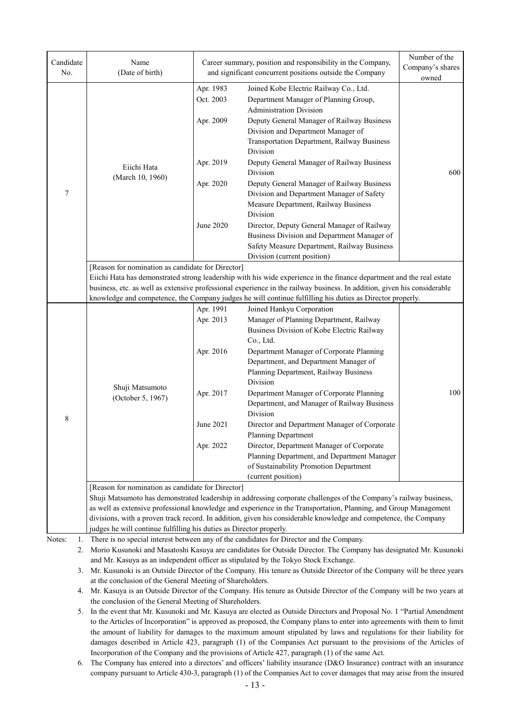| Candidate<br>No. | Name<br>(Date of birth)                                             |                        | Career summary, position and responsibility in the Company,<br>and significant concurrent positions outside the Company                     | Number of the<br>Company's shares |
|------------------|---------------------------------------------------------------------|------------------------|---------------------------------------------------------------------------------------------------------------------------------------------|-----------------------------------|
|                  |                                                                     |                        |                                                                                                                                             | owned                             |
| 7                |                                                                     | Apr. 1983<br>Oct. 2003 | Joined Kobe Electric Railway Co., Ltd.<br>Department Manager of Planning Group,<br><b>Administration Division</b>                           |                                   |
|                  |                                                                     | Apr. 2009              | Deputy General Manager of Railway Business<br>Division and Department Manager of<br>Transportation Department, Railway Business<br>Division |                                   |
|                  | Eiichi Hata                                                         | Apr. 2019              | Deputy General Manager of Railway Business<br>Division                                                                                      | 600                               |
|                  | (March 10, 1960)                                                    | Apr. 2020              | Deputy General Manager of Railway Business<br>Division and Department Manager of Safety<br>Measure Department, Railway Business<br>Division |                                   |
|                  |                                                                     | <b>June 2020</b>       | Director, Deputy General Manager of Railway<br>Business Division and Department Manager of                                                  |                                   |
|                  |                                                                     |                        | Safety Measure Department, Railway Business<br>Division (current position)                                                                  |                                   |
|                  | [Reason for nomination as candidate for Director]                   |                        |                                                                                                                                             |                                   |
|                  |                                                                     |                        | Eiichi Hata has demonstrated strong leadership with his wide experience in the finance department and the real estate                       |                                   |
|                  |                                                                     |                        | business, etc. as well as extensive professional experience in the railway business. In addition, given his considerable                    |                                   |
|                  |                                                                     |                        | knowledge and competence, the Company judges he will continue fulfilling his duties as Director properly.                                   |                                   |
|                  |                                                                     | Apr. 1991              | Joined Hankyu Corporation                                                                                                                   |                                   |
|                  |                                                                     | Apr. 2013              | Manager of Planning Department, Railway                                                                                                     |                                   |
|                  |                                                                     |                        | Business Division of Kobe Electric Railway                                                                                                  |                                   |
|                  |                                                                     |                        | Co., Ltd.                                                                                                                                   |                                   |
|                  |                                                                     | Apr. 2016              | Department Manager of Corporate Planning                                                                                                    |                                   |
|                  |                                                                     |                        | Department, and Department Manager of                                                                                                       |                                   |
|                  |                                                                     |                        | Planning Department, Railway Business                                                                                                       |                                   |
|                  | Shuji Matsumoto                                                     |                        | Division                                                                                                                                    |                                   |
|                  | (October 5, 1967)                                                   | Apr. 2017              | Department Manager of Corporate Planning<br>Department, and Manager of Railway Business<br>Division                                         | 100                               |
| 8                |                                                                     | June 2021              | Director and Department Manager of Corporate<br><b>Planning Department</b>                                                                  |                                   |
|                  |                                                                     | Apr. 2022              | Director, Department Manager of Corporate                                                                                                   |                                   |
|                  |                                                                     |                        | Planning Department, and Department Manager<br>of Sustainability Promotion Department                                                       |                                   |
|                  |                                                                     |                        | (current position)                                                                                                                          |                                   |
|                  | [Reason for nomination as candidate for Director]                   |                        | Shuji Matsumoto has demonstrated leadership in addressing corporate challenges of the Company's railway business,                           |                                   |
|                  |                                                                     |                        | as well as extensive professional knowledge and experience in the Transportation, Planning, and Group Management                            |                                   |
|                  |                                                                     |                        | divisions, with a proven track record. In addition, given his considerable knowledge and competence, the Company                            |                                   |
|                  | judges he will continue fulfilling his duties as Director properly. |                        |                                                                                                                                             |                                   |
| Notes:<br>1.     |                                                                     |                        | There is no special interest between any of the candidates for Director and the Company.                                                    |                                   |
| 2.               |                                                                     |                        | Morio Kusunoki and Masatoshi Kasuya are candidates for Outside Director. The Company has designated Mr. Kusunoki                            |                                   |
|                  |                                                                     |                        | and Mr. Kasuya as an independent officer as stipulated by the Tokyo Stock Exchange.                                                         |                                   |
|                  |                                                                     |                        | 3. Mr. Kusunoki is an Outside Director of the Company. His tenure as Outside Director of the Company will be three years                    |                                   |
|                  | at the conclusion of the General Meeting of Shareholders.           |                        |                                                                                                                                             |                                   |
|                  |                                                                     |                        | 4. Mr. Kasuya is an Outside Director of the Company. His tenure as Outside Director of the Company will be two years at                     |                                   |
|                  | the conclusion of the General Meeting of Shareholders.              |                        |                                                                                                                                             |                                   |
| 5.               |                                                                     |                        | In the event that Mr. Kusunoki and Mr. Kasuya are elected as Outside Directors and Proposal No. 1 "Partial Amendment                        |                                   |

to the Articles of Incorporation" is approved as proposed, the Company plans to enter into agreements with them to limit the amount of liability for damages to the maximum amount stipulated by laws and regulations for their liability for damages described in Article 423, paragraph (1) of the Companies Act pursuant to the provisions of the Articles of Incorporation of the Company and the provisions of Article 427, paragraph (1) of the same Act.

6. The Company has entered into a directors' and officers' liability insurance (D&O Insurance) contract with an insurance company pursuant to Article 430-3, paragraph (1) of the Companies Act to cover damages that may arise from the insured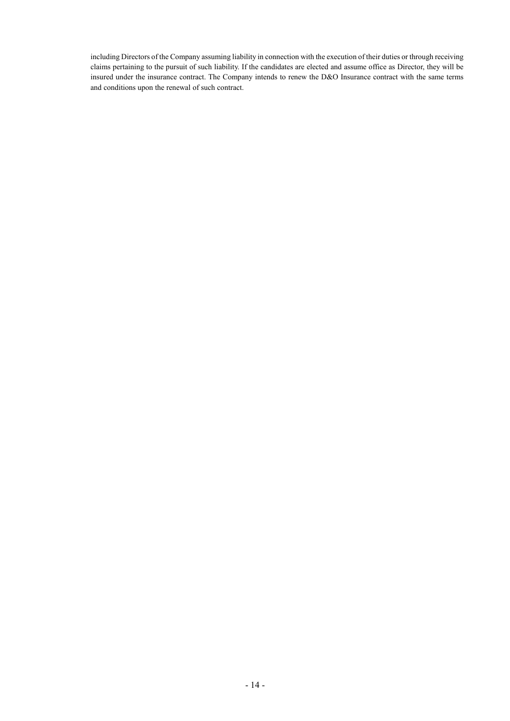including Directors of the Company assuming liability in connection with the execution of their duties or through receiving claims pertaining to the pursuit of such liability. If the candidates are elected and assume office as Director, they will be insured under the insurance contract. The Company intends to renew the D&O Insurance contract with the same terms and conditions upon the renewal of such contract.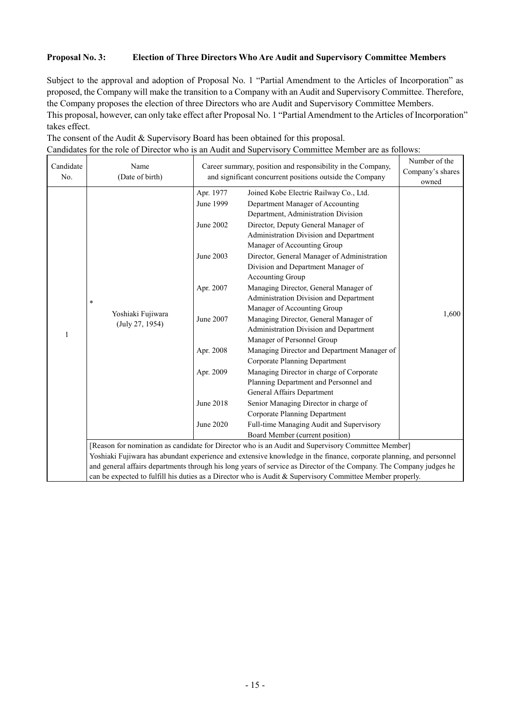### **Proposal No. 3: Election of Three Directors Who Are Audit and Supervisory Committee Members**

Subject to the approval and adoption of Proposal No. 1 "Partial Amendment to the Articles of Incorporation" as proposed, the Company will make the transition to a Company with an Audit and Supervisory Committee. Therefore, the Company proposes the election of three Directors who are Audit and Supervisory Committee Members. This proposal, however, can only take effect after Proposal No. 1 "Partial Amendment to the Articles of Incorporation" takes effect.

The consent of the Audit & Supervisory Board has been obtained for this proposal.

| Candidates for the role of Director who is an Audit and Supervisory Committee Member are as follows: |  |
|------------------------------------------------------------------------------------------------------|--|
|------------------------------------------------------------------------------------------------------|--|

| Candidate<br>No. | Name<br>(Date of birth)                                                                                                                                                                                                                                                                                                                                                                                                                                       | Career summary, position and responsibility in the Company,<br>and significant concurrent positions outside the Company | Number of the<br>Company's shares<br>owned                                                                                                   |       |  |
|------------------|---------------------------------------------------------------------------------------------------------------------------------------------------------------------------------------------------------------------------------------------------------------------------------------------------------------------------------------------------------------------------------------------------------------------------------------------------------------|-------------------------------------------------------------------------------------------------------------------------|----------------------------------------------------------------------------------------------------------------------------------------------|-------|--|
| 1                | $\ast$<br>Yoshiaki Fujiwara<br>(July 27, 1954)                                                                                                                                                                                                                                                                                                                                                                                                                | Apr. 1977<br>June 1999                                                                                                  | Joined Kobe Electric Railway Co., Ltd.<br>Department Manager of Accounting<br>Department, Administration Division                            |       |  |
|                  |                                                                                                                                                                                                                                                                                                                                                                                                                                                               | June 2002                                                                                                               | Director, Deputy General Manager of<br>Administration Division and Department<br>Manager of Accounting Group                                 |       |  |
|                  |                                                                                                                                                                                                                                                                                                                                                                                                                                                               | June 2003                                                                                                               | Director, General Manager of Administration<br>Division and Department Manager of<br>Accounting Group                                        |       |  |
|                  |                                                                                                                                                                                                                                                                                                                                                                                                                                                               | Apr. 2007                                                                                                               | Managing Director, General Manager of<br>Administration Division and Department                                                              |       |  |
|                  |                                                                                                                                                                                                                                                                                                                                                                                                                                                               | June 2007                                                                                                               | Manager of Accounting Group<br>Managing Director, General Manager of<br>Administration Division and Department<br>Manager of Personnel Group | 1,600 |  |
|                  |                                                                                                                                                                                                                                                                                                                                                                                                                                                               | Apr. 2008                                                                                                               | Managing Director and Department Manager of<br><b>Corporate Planning Department</b>                                                          |       |  |
|                  |                                                                                                                                                                                                                                                                                                                                                                                                                                                               | Apr. 2009                                                                                                               | Managing Director in charge of Corporate<br>Planning Department and Personnel and<br>General Affairs Department                              |       |  |
|                  |                                                                                                                                                                                                                                                                                                                                                                                                                                                               | June 2018                                                                                                               | Senior Managing Director in charge of                                                                                                        |       |  |
|                  |                                                                                                                                                                                                                                                                                                                                                                                                                                                               | June 2020                                                                                                               | <b>Corporate Planning Department</b><br>Full-time Managing Audit and Supervisory<br>Board Member (current position)                          |       |  |
|                  | [Reason for nomination as candidate for Director who is an Audit and Supervisory Committee Member]<br>Yoshiaki Fujiwara has abundant experience and extensive knowledge in the finance, corporate planning, and personnel<br>and general affairs departments through his long years of service as Director of the Company. The Company judges he<br>can be expected to fulfill his duties as a Director who is Audit & Supervisory Committee Member properly. |                                                                                                                         |                                                                                                                                              |       |  |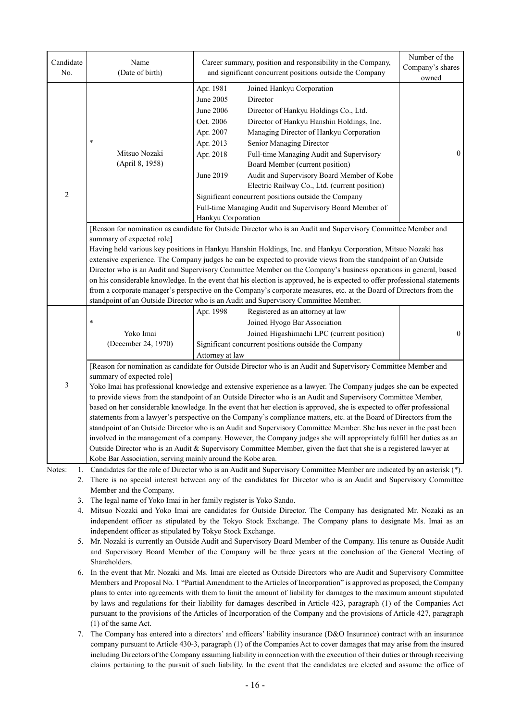| Candidate      | Name                                                                                                                                                                                                                                              | Career summary, position and responsibility in the Company,                                                   | Number of the<br>Company's shares |  |  |  |
|----------------|---------------------------------------------------------------------------------------------------------------------------------------------------------------------------------------------------------------------------------------------------|---------------------------------------------------------------------------------------------------------------|-----------------------------------|--|--|--|
| No.            | (Date of birth)                                                                                                                                                                                                                                   | and significant concurrent positions outside the Company                                                      | owned                             |  |  |  |
|                |                                                                                                                                                                                                                                                   | Apr. 1981<br>Joined Hankyu Corporation                                                                        |                                   |  |  |  |
|                |                                                                                                                                                                                                                                                   | June 2005<br>Director                                                                                         |                                   |  |  |  |
|                |                                                                                                                                                                                                                                                   | June 2006<br>Director of Hankyu Holdings Co., Ltd.                                                            |                                   |  |  |  |
|                |                                                                                                                                                                                                                                                   | Oct. 2006<br>Director of Hankyu Hanshin Holdings, Inc.                                                        |                                   |  |  |  |
|                |                                                                                                                                                                                                                                                   | Apr. 2007<br>Managing Director of Hankyu Corporation                                                          |                                   |  |  |  |
|                | $\ast$                                                                                                                                                                                                                                            | Apr. 2013<br>Senior Managing Director                                                                         |                                   |  |  |  |
|                | Mitsuo Nozaki                                                                                                                                                                                                                                     | Apr. 2018<br>Full-time Managing Audit and Supervisory                                                         | $\theta$                          |  |  |  |
|                | (April 8, 1958)                                                                                                                                                                                                                                   | Board Member (current position)                                                                               |                                   |  |  |  |
|                |                                                                                                                                                                                                                                                   | June 2019<br>Audit and Supervisory Board Member of Kobe                                                       |                                   |  |  |  |
|                |                                                                                                                                                                                                                                                   | Electric Railway Co., Ltd. (current position)                                                                 |                                   |  |  |  |
| $\overline{2}$ |                                                                                                                                                                                                                                                   | Significant concurrent positions outside the Company                                                          |                                   |  |  |  |
|                |                                                                                                                                                                                                                                                   | Full-time Managing Audit and Supervisory Board Member of                                                      |                                   |  |  |  |
|                |                                                                                                                                                                                                                                                   | Hankyu Corporation                                                                                            |                                   |  |  |  |
|                |                                                                                                                                                                                                                                                   | [Reason for nomination as candidate for Outside Director who is an Audit and Supervisory Committee Member and |                                   |  |  |  |
|                | summary of expected role]                                                                                                                                                                                                                         |                                                                                                               |                                   |  |  |  |
|                | Having held various key positions in Hankyu Hanshin Holdings, Inc. and Hankyu Corporation, Mitsuo Nozaki has                                                                                                                                      |                                                                                                               |                                   |  |  |  |
|                | extensive experience. The Company judges he can be expected to provide views from the standpoint of an Outside                                                                                                                                    |                                                                                                               |                                   |  |  |  |
|                | Director who is an Audit and Supervisory Committee Member on the Company's business operations in general, based                                                                                                                                  |                                                                                                               |                                   |  |  |  |
|                | on his considerable knowledge. In the event that his election is approved, he is expected to offer professional statements<br>from a corporate manager's perspective on the Company's corporate measures, etc. at the Board of Directors from the |                                                                                                               |                                   |  |  |  |
|                |                                                                                                                                                                                                                                                   | standpoint of an Outside Director who is an Audit and Supervisory Committee Member.                           |                                   |  |  |  |
|                |                                                                                                                                                                                                                                                   | Registered as an attorney at law<br>Apr. 1998                                                                 |                                   |  |  |  |
|                | $\ast$                                                                                                                                                                                                                                            | Joined Hyogo Bar Association                                                                                  |                                   |  |  |  |
|                | Yoko Imai                                                                                                                                                                                                                                         | Joined Higashimachi LPC (current position)                                                                    | $\overline{0}$                    |  |  |  |
|                | (December 24, 1970)                                                                                                                                                                                                                               | Significant concurrent positions outside the Company                                                          |                                   |  |  |  |
|                |                                                                                                                                                                                                                                                   | Attorney at law                                                                                               |                                   |  |  |  |
|                | [Reason for nomination as candidate for Outside Director who is an Audit and Supervisory Committee Member and                                                                                                                                     |                                                                                                               |                                   |  |  |  |
|                | summary of expected role]                                                                                                                                                                                                                         |                                                                                                               |                                   |  |  |  |
| 3              | Yoko Imai has professional knowledge and extensive experience as a lawyer. The Company judges she can be expected                                                                                                                                 |                                                                                                               |                                   |  |  |  |
|                | to provide views from the standpoint of an Outside Director who is an Audit and Supervisory Committee Member,                                                                                                                                     |                                                                                                               |                                   |  |  |  |
|                | based on her considerable knowledge. In the event that her election is approved, she is expected to offer professional                                                                                                                            |                                                                                                               |                                   |  |  |  |
|                | statements from a lawyer's perspective on the Company's compliance matters, etc. at the Board of Directors from the                                                                                                                               |                                                                                                               |                                   |  |  |  |
|                | standpoint of an Outside Director who is an Audit and Supervisory Committee Member. She has never in the past been                                                                                                                                |                                                                                                               |                                   |  |  |  |
|                | involved in the management of a company. However, the Company judges she will appropriately fulfill her duties as an                                                                                                                              |                                                                                                               |                                   |  |  |  |
|                | Outside Director who is an Audit & Supervisory Committee Member, given the fact that she is a registered lawyer at<br>Kobe Bar Association, serving mainly around the Kobe area.                                                                  |                                                                                                               |                                   |  |  |  |
| Notes:         |                                                                                                                                                                                                                                                   |                                                                                                               |                                   |  |  |  |
| 1.<br>2.       | Candidates for the role of Director who is an Audit and Supervisory Committee Member are indicated by an asterisk (*).<br>There is no special interest between any of the candidates for Director who is an Audit and Supervisory Committee       |                                                                                                               |                                   |  |  |  |
|                | Member and the Company.                                                                                                                                                                                                                           |                                                                                                               |                                   |  |  |  |
| 3.             | The legal name of Yoko Imai in her family register is Yoko Sando.                                                                                                                                                                                 |                                                                                                               |                                   |  |  |  |
| 4.             |                                                                                                                                                                                                                                                   | Mitsuo Nozaki and Yoko Imai are candidates for Outside Director. The Company has designated Mr. Nozaki as an  |                                   |  |  |  |
|                | independent officer as stipulated by the Tokyo Stock Exchange. The Company plans to designate Ms. Imai as an                                                                                                                                      |                                                                                                               |                                   |  |  |  |
|                | independent officer as stipulated by Tokyo Stock Exchange.                                                                                                                                                                                        |                                                                                                               |                                   |  |  |  |
| 5.             | Mr. Nozaki is currently an Outside Audit and Supervisory Board Member of the Company. His tenure as Outside Audit                                                                                                                                 |                                                                                                               |                                   |  |  |  |
|                | and Supervisory Board Member of the Company will be three years at the conclusion of the General Meeting of                                                                                                                                       |                                                                                                               |                                   |  |  |  |
|                | Shareholders.                                                                                                                                                                                                                                     |                                                                                                               |                                   |  |  |  |

- 6. In the event that Mr. Nozaki and Ms. Imai are elected as Outside Directors who are Audit and Supervisory Committee Members and Proposal No. 1 "Partial Amendment to the Articles of Incorporation" is approved as proposed, the Company plans to enter into agreements with them to limit the amount of liability for damages to the maximum amount stipulated by laws and regulations for their liability for damages described in Article 423, paragraph (1) of the Companies Act pursuant to the provisions of the Articles of Incorporation of the Company and the provisions of Article 427, paragraph (1) of the same Act.
- 7. The Company has entered into a directors' and officers' liability insurance (D&O Insurance) contract with an insurance company pursuant to Article 430-3, paragraph (1) of the Companies Act to cover damages that may arise from the insured including Directors of the Company assuming liability in connection with the execution of their duties or through receiving claims pertaining to the pursuit of such liability. In the event that the candidates are elected and assume the office of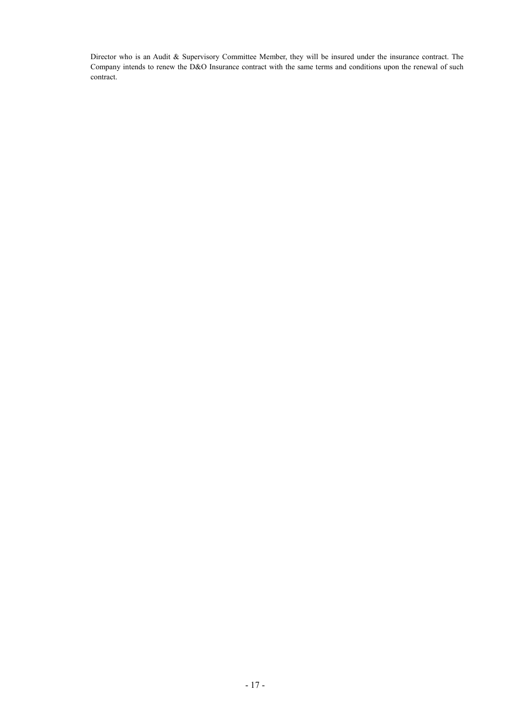Director who is an Audit & Supervisory Committee Member, they will be insured under the insurance contract. The Company intends to renew the D&O Insurance contract with the same terms and conditions upon the renewal of such contract.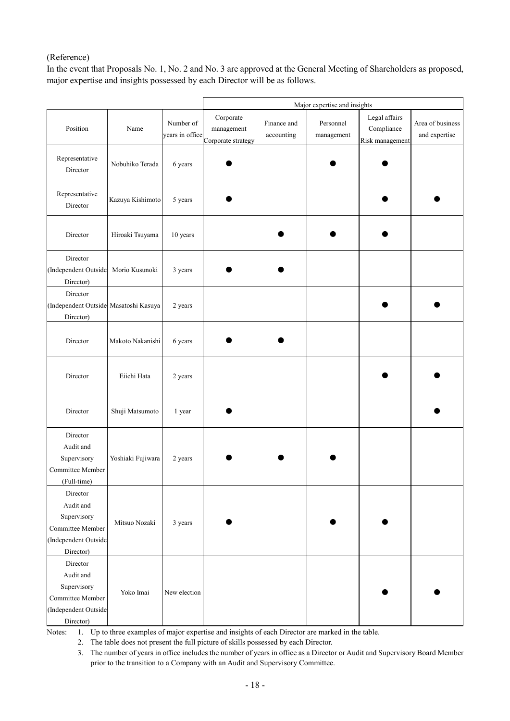## (Reference)

In the event that Proposals No. 1, No. 2 and No. 3 are approved at the General Meeting of Shareholders as proposed, major expertise and insights possessed by each Director will be as follows.

|                                                                                               |                   |                              | Major expertise and insights                  |                           |                         |                                                |                                   |
|-----------------------------------------------------------------------------------------------|-------------------|------------------------------|-----------------------------------------------|---------------------------|-------------------------|------------------------------------------------|-----------------------------------|
| Position                                                                                      | Name              | Number of<br>years in office | Corporate<br>management<br>Corporate strategy | Finance and<br>accounting | Personnel<br>management | Legal affairs<br>Compliance<br>Risk management | Area of business<br>and expertise |
| Representative<br>Director                                                                    | Nobuhiko Terada   | 6 years                      |                                               |                           |                         |                                                |                                   |
| Representative<br>Director                                                                    | Kazuya Kishimoto  | 5 years                      |                                               |                           |                         |                                                |                                   |
| Director                                                                                      | Hiroaki Tsuyama   | 10 years                     |                                               |                           |                         |                                                |                                   |
| Director<br>(Independent Outside<br>Director)                                                 | Morio Kusunoki    | 3 years                      |                                               |                           |                         |                                                |                                   |
| Director<br>(Independent Outside Masatoshi Kasuya<br>Director)                                |                   | 2 years                      |                                               |                           |                         |                                                |                                   |
| Director                                                                                      | Makoto Nakanishi  | 6 years                      |                                               |                           |                         |                                                |                                   |
| Director                                                                                      | Eiichi Hata       | 2 years                      |                                               |                           |                         |                                                |                                   |
| Director                                                                                      | Shuji Matsumoto   | 1 year                       |                                               |                           |                         |                                                |                                   |
| Director<br>Audit and<br>Supervisory<br>Committee Member<br>(Full-time)                       | Yoshiaki Fujiwara | 2 years                      |                                               |                           |                         |                                                |                                   |
| Director<br>Audit and<br>Supervisory<br>Committee Member<br>(Independent Outside<br>Director) | Mitsuo Nozaki     | 3 years                      |                                               |                           |                         |                                                |                                   |
| Director<br>Audit and<br>Supervisory<br>Committee Member<br>(Independent Outside<br>Director) | Yoko Imai         | New election                 |                                               |                           |                         |                                                |                                   |

Notes: 1. Up to three examples of major expertise and insights of each Director are marked in the table.

2. The table does not present the full picture of skills possessed by each Director.

<sup>3.</sup> The number of years in office includes the number of years in office as a Director or Audit and Supervisory Board Member prior to the transition to a Company with an Audit and Supervisory Committee.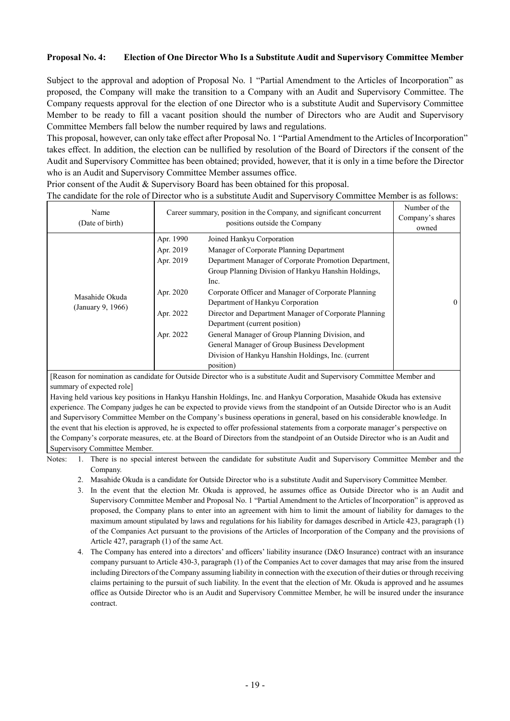### **Proposal No. 4: Election of One Director Who Is a Substitute Audit and Supervisory Committee Member**

Subject to the approval and adoption of Proposal No. 1 "Partial Amendment to the Articles of Incorporation" as proposed, the Company will make the transition to a Company with an Audit and Supervisory Committee. The Company requests approval for the election of one Director who is a substitute Audit and Supervisory Committee Member to be ready to fill a vacant position should the number of Directors who are Audit and Supervisory Committee Members fall below the number required by laws and regulations.

This proposal, however, can only take effect after Proposal No. 1 "Partial Amendment to the Articles of Incorporation" takes effect. In addition, the election can be nullified by resolution of the Board of Directors if the consent of the Audit and Supervisory Committee has been obtained; provided, however, that it is only in a time before the Director who is an Audit and Supervisory Committee Member assumes office.

Prior consent of the Audit & Supervisory Board has been obtained for this proposal.

The candidate for the role of Director who is a substitute Audit and Supervisory Committee Member is as follows:

| Name<br>(Date of birth)             |                                     | Career summary, position in the Company, and significant concurrent<br>Company's shares<br>positions outside the Company                                                                                                                                      |          |  |
|-------------------------------------|-------------------------------------|---------------------------------------------------------------------------------------------------------------------------------------------------------------------------------------------------------------------------------------------------------------|----------|--|
|                                     | Apr. 1990<br>Apr. 2019<br>Apr. 2019 | Joined Hankyu Corporation<br>Manager of Corporate Planning Department<br>Department Manager of Corporate Promotion Department,<br>Group Planning Division of Hankyu Hanshin Holdings,                                                                         |          |  |
| Masahide Okuda<br>(January 9, 1966) | Apr. 2020                           | Inc.<br>Corporate Officer and Manager of Corporate Planning<br>Department of Hankyu Corporation                                                                                                                                                               | $\theta$ |  |
|                                     | Apr. 2022<br>Apr. 2022              | Director and Department Manager of Corporate Planning<br>Department (current position)<br>General Manager of Group Planning Division, and<br>General Manager of Group Business Development<br>Division of Hankyu Hanshin Holdings, Inc. (current<br>position) |          |  |

[Reason for nomination as candidate for Outside Director who is a substitute Audit and Supervisory Committee Member and summary of expected role]

Having held various key positions in Hankyu Hanshin Holdings, Inc. and Hankyu Corporation, Masahide Okuda has extensive experience. The Company judges he can be expected to provide views from the standpoint of an Outside Director who is an Audit and Supervisory Committee Member on the Company's business operations in general, based on his considerable knowledge. In the event that his election is approved, he is expected to offer professional statements from a corporate manager's perspective on the Company's corporate measures, etc. at the Board of Directors from the standpoint of an Outside Director who is an Audit and Supervisory Committee Member.

Notes: 1. There is no special interest between the candidate for substitute Audit and Supervisory Committee Member and the Company.

- 2. Masahide Okuda is a candidate for Outside Director who is a substitute Audit and Supervisory Committee Member.
- 3. In the event that the election Mr. Okuda is approved, he assumes office as Outside Director who is an Audit and Supervisory Committee Member and Proposal No. 1 "Partial Amendment to the Articles of Incorporation" is approved as proposed, the Company plans to enter into an agreement with him to limit the amount of liability for damages to the maximum amount stipulated by laws and regulations for his liability for damages described in Article 423, paragraph (1) of the Companies Act pursuant to the provisions of the Articles of Incorporation of the Company and the provisions of Article 427, paragraph (1) of the same Act.
- 4. The Company has entered into a directors' and officers' liability insurance (D&O Insurance) contract with an insurance company pursuant to Article 430-3, paragraph (1) of the Companies Act to cover damages that may arise from the insured including Directors of the Company assuming liability in connection with the execution of their duties or through receiving claims pertaining to the pursuit of such liability. In the event that the election of Mr. Okuda is approved and he assumes office as Outside Director who is an Audit and Supervisory Committee Member, he will be insured under the insurance contract.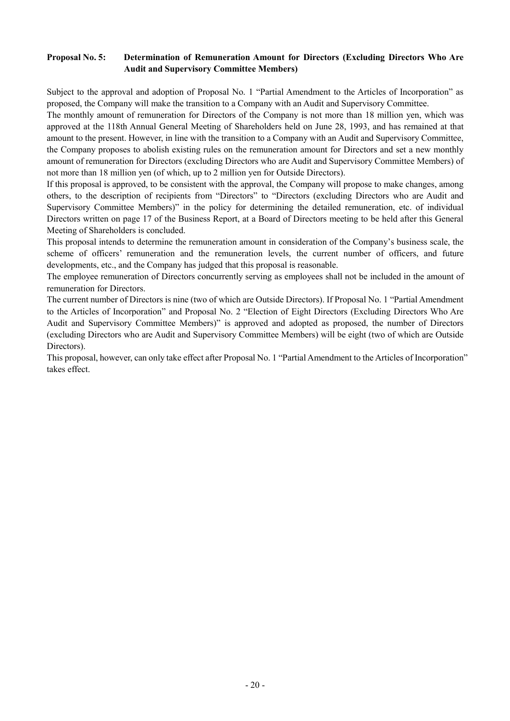## **Proposal No. 5: Determination of Remuneration Amount for Directors (Excluding Directors Who Are Audit and Supervisory Committee Members)**

Subject to the approval and adoption of Proposal No. 1 "Partial Amendment to the Articles of Incorporation" as proposed, the Company will make the transition to a Company with an Audit and Supervisory Committee.

The monthly amount of remuneration for Directors of the Company is not more than 18 million yen, which was approved at the 118th Annual General Meeting of Shareholders held on June 28, 1993, and has remained at that amount to the present. However, in line with the transition to a Company with an Audit and Supervisory Committee, the Company proposes to abolish existing rules on the remuneration amount for Directors and set a new monthly amount of remuneration for Directors (excluding Directors who are Audit and Supervisory Committee Members) of not more than 18 million yen (of which, up to 2 million yen for Outside Directors).

If this proposal is approved, to be consistent with the approval, the Company will propose to make changes, among others, to the description of recipients from "Directors" to "Directors (excluding Directors who are Audit and Supervisory Committee Members)" in the policy for determining the detailed remuneration, etc. of individual Directors written on page 17 of the Business Report, at a Board of Directors meeting to be held after this General Meeting of Shareholders is concluded.

This proposal intends to determine the remuneration amount in consideration of the Company's business scale, the scheme of officers' remuneration and the remuneration levels, the current number of officers, and future developments, etc., and the Company has judged that this proposal is reasonable.

The employee remuneration of Directors concurrently serving as employees shall not be included in the amount of remuneration for Directors.

The current number of Directors is nine (two of which are Outside Directors). If Proposal No. 1 "Partial Amendment to the Articles of Incorporation" and Proposal No. 2 "Election of Eight Directors (Excluding Directors Who Are Audit and Supervisory Committee Members)" is approved and adopted as proposed, the number of Directors (excluding Directors who are Audit and Supervisory Committee Members) will be eight (two of which are Outside Directors).

This proposal, however, can only take effect after Proposal No. 1 "Partial Amendment to the Articles of Incorporation" takes effect.